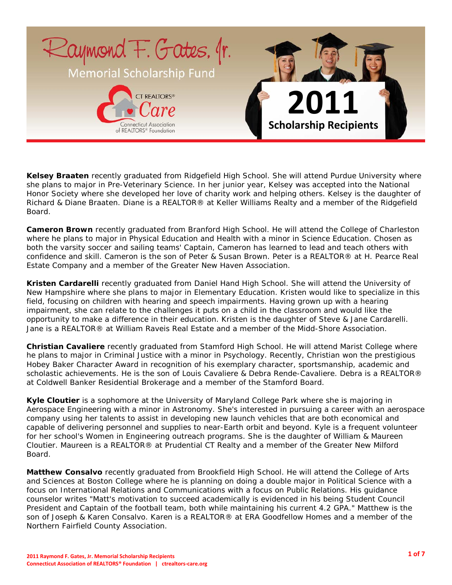

**Kelsey Braaten** recently graduated from Ridgefield High School. She will attend Purdue University where she plans to major in Pre-Veterinary Science. In her junior year, Kelsey was accepted into the National Honor Society where she developed her love of charity work and helping others. Kelsey is the daughter of Richard & Diane Braaten. Diane is a REALTOR® at Keller Williams Realty and a member of the Ridgefield Board.

**Cameron Brown** recently graduated from Branford High School. He will attend the College of Charleston where he plans to major in Physical Education and Health with a minor in Science Education. Chosen as both the varsity soccer and sailing teams' Captain, Cameron has learned to lead and teach others with confidence and skill. Cameron is the son of Peter & Susan Brown. Peter is a REALTOR® at H. Pearce Real Estate Company and a member of the Greater New Haven Association.

**Kristen Cardarelli** recently graduated from Daniel Hand High School. She will attend the University of New Hampshire where she plans to major in Elementary Education. Kristen would like to specialize in this field, focusing on children with hearing and speech impairments. Having grown up with a hearing impairment, she can relate to the challenges it puts on a child in the classroom and would like the opportunity to make a difference in their education. Kristen is the daughter of Steve & Jane Cardarelli. Jane is a REALTOR® at William Raveis Real Estate and a member of the Midd-Shore Association.

**Christian Cavaliere** recently graduated from Stamford High School. He will attend Marist College where he plans to major in Criminal Justice with a minor in Psychology. Recently, Christian won the prestigious Hobey Baker Character Award in recognition of his exemplary character, sportsmanship, academic and scholastic achievements. He is the son of Louis Cavaliere & Debra Rende-Cavaliere. Debra is a REALTOR® at Coldwell Banker Residential Brokerage and a member of the Stamford Board.

**Kyle Cloutier** is a sophomore at the University of Maryland College Park where she is majoring in Aerospace Engineering with a minor in Astronomy. She's interested in pursuing a career with an aerospace company using her talents to assist in developing new launch vehicles that are both economical and capable of delivering personnel and supplies to near-Earth orbit and beyond. Kyle is a frequent volunteer for her school's Women in Engineering outreach programs. She is the daughter of William & Maureen Cloutier. Maureen is a REALTOR® at Prudential CT Realty and a member of the Greater New Milford Board.

**Matthew Consalvo** recently graduated from Brookfield High School. He will attend the College of Arts and Sciences at Boston College where he is planning on doing a double major in Political Science with a focus on International Relations and Communications with a focus on Public Relations. His guidance counselor writes "Matt's motivation to succeed academically is evidenced in his being Student Council President and Captain of the football team, both while maintaining his current 4.2 GPA." Matthew is the son of Joseph & Karen Consalvo. Karen is a REALTOR® at ERA Goodfellow Homes and a member of the Northern Fairfield County Association.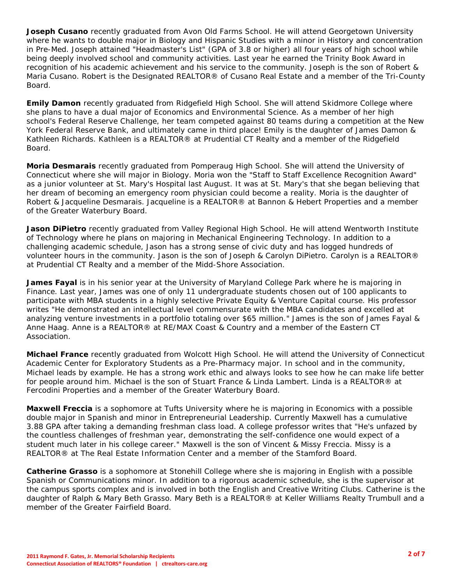**Joseph Cusano** recently graduated from Avon Old Farms School. He will attend Georgetown University where he wants to double major in Biology and Hispanic Studies with a minor in History and concentration in Pre-Med. Joseph attained "Headmaster's List" (GPA of 3.8 or higher) all four years of high school while being deeply involved school and community activities. Last year he earned the Trinity Book Award in recognition of his academic achievement and his service to the community. Joseph is the son of Robert & Maria Cusano. Robert is the Designated REALTOR® of Cusano Real Estate and a member of the Tri-County Board.

**Emily Damon** recently graduated from Ridgefield High School. She will attend Skidmore College where she plans to have a dual major of Economics and Environmental Science. As a member of her high school's Federal Reserve Challenge, her team competed against 80 teams during a competition at the New York Federal Reserve Bank, and ultimately came in third place! Emily is the daughter of James Damon & Kathleen Richards. Kathleen is a REALTOR® at Prudential CT Realty and a member of the Ridgefield Board.

**Moria Desmarais** recently graduated from Pomperaug High School. She will attend the University of Connecticut where she will major in Biology. Moria won the "Staff to Staff Excellence Recognition Award" as a junior volunteer at St. Mary's Hospital last August. It was at St. Mary's that she began believing that her dream of becoming an emergency room physician could become a reality. Moria is the daughter of Robert & Jacqueline Desmarais. Jacqueline is a REALTOR® at Bannon & Hebert Properties and a member of the Greater Waterbury Board.

**Jason DiPietro** recently graduated from Valley Regional High School. He will attend Wentworth Institute of Technology where he plans on majoring in Mechanical Engineering Technology. In addition to a challenging academic schedule, Jason has a strong sense of civic duty and has logged hundreds of volunteer hours in the community. Jason is the son of Joseph & Carolyn DiPietro. Carolyn is a REALTOR® at Prudential CT Realty and a member of the Midd-Shore Association.

**James Fayal** is in his senior year at the University of Maryland College Park where he is majoring in Finance. Last year, James was one of only 11 undergraduate students chosen out of 100 applicants to participate with MBA students in a highly selective Private Equity & Venture Capital course. His professor writes "He demonstrated an intellectual level commensurate with the MBA candidates and excelled at analyzing venture investments in a portfolio totaling over \$65 million." James is the son of James Fayal & Anne Haag. Anne is a REALTOR® at RE/MAX Coast & Country and a member of the Eastern CT Association.

**Michael France** recently graduated from Wolcott High School. He will attend the University of Connecticut Academic Center for Exploratory Students as a Pre-Pharmacy major. In school and in the community, Michael leads by example. He has a strong work ethic and always looks to see how he can make life better for people around him. Michael is the son of Stuart France & Linda Lambert. Linda is a REALTOR® at Fercodini Properties and a member of the Greater Waterbury Board.

**Maxwell Freccia** is a sophomore at Tufts University where he is majoring in Economics with a possible double major in Spanish and minor in Entrepreneurial Leadership. Currently Maxwell has a cumulative 3.88 GPA after taking a demanding freshman class load. A college professor writes that "He's unfazed by the countless challenges of freshman year, demonstrating the self-confidence one would expect of a student much later in his college career." Maxwell is the son of Vincent & Missy Freccia. Missy is a REALTOR® at The Real Estate Information Center and a member of the Stamford Board.

**Catherine Grasso** is a sophomore at Stonehill College where she is majoring in English with a possible Spanish or Communications minor. In addition to a rigorous academic schedule, she is the supervisor at the campus sports complex and is involved in both the English and Creative Writing Clubs. Catherine is the daughter of Ralph & Mary Beth Grasso. Mary Beth is a REALTOR® at Keller Williams Realty Trumbull and a member of the Greater Fairfield Board.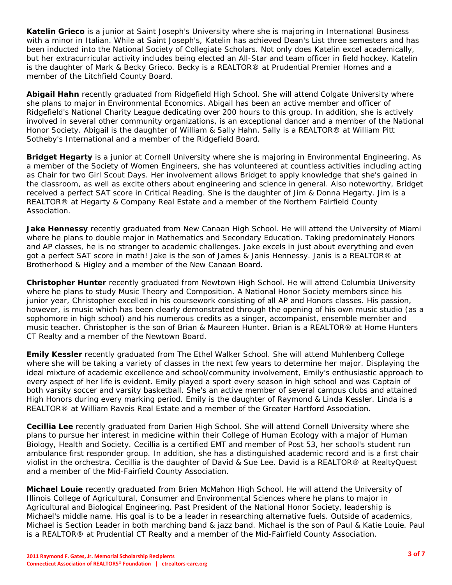**Katelin Grieco** is a junior at Saint Joseph's University where she is majoring in International Business with a minor in Italian. While at Saint Joseph's, Katelin has achieved Dean's List three semesters and has been inducted into the National Society of Collegiate Scholars. Not only does Katelin excel academically, but her extracurricular activity includes being elected an All-Star and team officer in field hockey. Katelin is the daughter of Mark & Becky Grieco. Becky is a REALTOR® at Prudential Premier Homes and a member of the Litchfield County Board.

**Abigail Hahn** recently graduated from Ridgefield High School. She will attend Colgate University where she plans to major in Environmental Economics. Abigail has been an active member and officer of Ridgefield's National Charity League dedicating over 200 hours to this group. In addition, she is actively involved in several other community organizations, is an exceptional dancer and a member of the National Honor Society. Abigail is the daughter of William & Sally Hahn. Sally is a REALTOR® at William Pitt Sotheby's International and a member of the Ridgefield Board.

**Bridget Hegarty** is a junior at Cornell University where she is majoring in Environmental Engineering. As a member of the Society of Women Engineers, she has volunteered at countless activities including acting as Chair for two Girl Scout Days. Her involvement allows Bridget to apply knowledge that she's gained in the classroom, as well as excite others about engineering and science in general. Also noteworthy, Bridget received a perfect SAT score in Critical Reading. She is the daughter of Jim & Donna Hegarty. Jim is a REALTOR® at Hegarty & Company Real Estate and a member of the Northern Fairfield County Association.

**Jake Hennessy** recently graduated from New Canaan High School. He will attend the University of Miami where he plans to double major in Mathematics and Secondary Education. Taking predominately Honors and AP classes, he is no stranger to academic challenges. Jake excels in just about everything and even got a perfect SAT score in math! Jake is the son of James & Janis Hennessy. Janis is a REALTOR® at Brotherhood & Higley and a member of the New Canaan Board.

**Christopher Hunter** recently graduated from Newtown High School. He will attend Columbia University where he plans to study Music Theory and Composition. A National Honor Society members since his junior year, Christopher excelled in his coursework consisting of all AP and Honors classes. His passion, however, is music which has been clearly demonstrated through the opening of his own music studio (as a sophomore in high school) and his numerous credits as a singer, accompanist, ensemble member and music teacher. Christopher is the son of Brian & Maureen Hunter. Brian is a REALTOR® at Home Hunters CT Realty and a member of the Newtown Board.

**Emily Kessler** recently graduated from The Ethel Walker School. She will attend Muhlenberg College where she will be taking a variety of classes in the next few years to determine her major. Displaying the ideal mixture of academic excellence and school/community involvement, Emily's enthusiastic approach to every aspect of her life is evident. Emily played a sport every season in high school and was Captain of both varsity soccer and varsity basketball. She's an active member of several campus clubs and attained High Honors during every marking period. Emily is the daughter of Raymond & Linda Kessler. Linda is a REALTOR® at William Raveis Real Estate and a member of the Greater Hartford Association.

**Cecillia Lee** recently graduated from Darien High School. She will attend Cornell University where she plans to pursue her interest in medicine within their College of Human Ecology with a major of Human Biology, Health and Society. Cecillia is a certified EMT and member of Post 53, her school's student run ambulance first responder group. In addition, she has a distinguished academic record and is a first chair violist in the orchestra. Cecillia is the daughter of David & Sue Lee. David is a REALTOR® at RealtyQuest and a member of the Mid-Fairfield County Association.

**Michael Louie** recently graduated from Brien McMahon High School. He will attend the University of Illinois College of Agricultural, Consumer and Environmental Sciences where he plans to major in Agricultural and Biological Engineering. Past President of the National Honor Society, leadership is Michael's middle name. His goal is to be a leader in researching alternative fuels. Outside of academics, Michael is Section Leader in both marching band & jazz band. Michael is the son of Paul & Katie Louie. Paul is a REALTOR® at Prudential CT Realty and a member of the Mid-Fairfield County Association.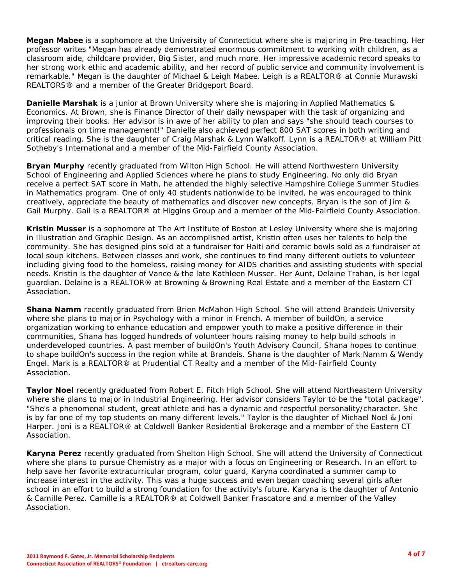**Megan Mabee** is a sophomore at the University of Connecticut where she is majoring in Pre-teaching. Her professor writes "Megan has already demonstrated enormous commitment to working with children, as a classroom aide, childcare provider, Big Sister, and much more. Her impressive academic record speaks to her strong work ethic and academic ability, and her record of public service and community involvement is remarkable." Megan is the daughter of Michael & Leigh Mabee. Leigh is a REALTOR® at Connie Murawski REALTORS® and a member of the Greater Bridgeport Board.

**Danielle Marshak** is a junior at Brown University where she is majoring in Applied Mathematics & Economics. At Brown, she is Finance Director of their daily newspaper with the task of organizing and improving their books. Her advisor is in awe of her ability to plan and says "she should teach courses to professionals on time management!" Danielle also achieved perfect 800 SAT scores in both writing and critical reading. She is the daughter of Craig Marshak & Lynn Walkoff. Lynn is a REALTOR® at William Pitt Sotheby's International and a member of the Mid-Fairfield County Association.

**Bryan Murphy** recently graduated from Wilton High School. He will attend Northwestern University School of Engineering and Applied Sciences where he plans to study Engineering. No only did Bryan receive a perfect SAT score in Math, he attended the highly selective Hampshire College Summer Studies in Mathematics program. One of only 40 students nationwide to be invited, he was encouraged to think creatively, appreciate the beauty of mathematics and discover new concepts. Bryan is the son of Jim & Gail Murphy. Gail is a REALTOR® at Higgins Group and a member of the Mid-Fairfield County Association.

**Kristin Musser** is a sophomore at The Art Institute of Boston at Lesley University where she is majoring in Illustration and Graphic Design. As an accomplished artist, Kristin often uses her talents to help the community. She has designed pins sold at a fundraiser for Haiti and ceramic bowls sold as a fundraiser at local soup kitchens. Between classes and work, she continues to find many different outlets to volunteer including giving food to the homeless, raising money for AIDS charities and assisting students with special needs. Kristin is the daughter of Vance & the late Kathleen Musser. Her Aunt, Delaine Trahan, is her legal guardian. Delaine is a REALTOR® at Browning & Browning Real Estate and a member of the Eastern CT Association.

**Shana Namm** recently graduated from Brien McMahon High School. She will attend Brandeis University where she plans to major in Psychology with a minor in French. A member of buildOn, a service organization working to enhance education and empower youth to make a positive difference in their communities, Shana has logged hundreds of volunteer hours raising money to help build schools in underdeveloped countries. A past member of buildOn's Youth Advisory Council, Shana hopes to continue to shape buildOn's success in the region while at Brandeis. Shana is the daughter of Mark Namm & Wendy Engel. Mark is a REALTOR® at Prudential CT Realty and a member of the Mid-Fairfield County Association.

**Taylor Noel** recently graduated from Robert E. Fitch High School. She will attend Northeastern University where she plans to major in Industrial Engineering. Her advisor considers Taylor to be the "total package". "She's a phenomenal student, great athlete and has a dynamic and respectful personality/character. She is by far one of my top students on many different levels." Taylor is the daughter of Michael Noel & Joni Harper. Joni is a REALTOR® at Coldwell Banker Residential Brokerage and a member of the Eastern CT Association.

**Karyna Perez** recently graduated from Shelton High School. She will attend the University of Connecticut where she plans to pursue Chemistry as a major with a focus on Engineering or Research. In an effort to help save her favorite extracurricular program, color guard, Karyna coordinated a summer camp to increase interest in the activity. This was a huge success and even began coaching several girls after school in an effort to build a strong foundation for the activity's future. Karyna is the daughter of Antonio & Camille Perez. Camille is a REALTOR® at Coldwell Banker Frascatore and a member of the Valley Association.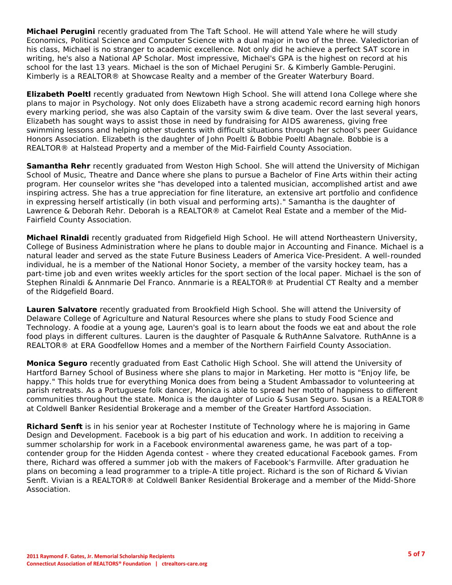**Michael Perugini** recently graduated from The Taft School. He will attend Yale where he will study Economics, Political Science and Computer Science with a dual major in two of the three. Valedictorian of his class, Michael is no stranger to academic excellence. Not only did he achieve a perfect SAT score in writing, he's also a National AP Scholar. Most impressive, Michael's GPA is the highest on record at his school for the last 13 years. Michael is the son of Michael Perugini Sr. & Kimberly Gamble-Perugini. Kimberly is a REALTOR® at Showcase Realty and a member of the Greater Waterbury Board.

**Elizabeth Poeltl** recently graduated from Newtown High School. She will attend Iona College where she plans to major in Psychology. Not only does Elizabeth have a strong academic record earning high honors every marking period, she was also Captain of the varsity swim & dive team. Over the last several years, Elizabeth has sought ways to assist those in need by fundraising for AIDS awareness, giving free swimming lessons and helping other students with difficult situations through her school's peer Guidance Honors Association. Elizabeth is the daughter of John Poeltl & Bobbie Poeltl Abagnale. Bobbie is a REALTOR® at Halstead Property and a member of the Mid-Fairfield County Association.

**Samantha Rehr** recently graduated from Weston High School. She will attend the University of Michigan School of Music, Theatre and Dance where she plans to pursue a Bachelor of Fine Arts within their acting program. Her counselor writes she "has developed into a talented musician, accomplished artist and awe inspiring actress. She has a true appreciation for fine literature, an extensive art portfolio and confidence in expressing herself artistically (in both visual and performing arts)." Samantha is the daughter of Lawrence & Deborah Rehr. Deborah is a REALTOR® at Camelot Real Estate and a member of the Mid-Fairfield County Association.

**Michael Rinaldi** recently graduated from Ridgefield High School. He will attend Northeastern University, College of Business Administration where he plans to double major in Accounting and Finance. Michael is a natural leader and served as the state Future Business Leaders of America Vice-President. A well-rounded individual, he is a member of the National Honor Society, a member of the varsity hockey team, has a part-time job and even writes weekly articles for the sport section of the local paper. Michael is the son of Stephen Rinaldi & Annmarie Del Franco. Annmarie is a REALTOR® at Prudential CT Realty and a member of the Ridgefield Board.

**Lauren Salvatore** recently graduated from Brookfield High School. She will attend the University of Delaware College of Agriculture and Natural Resources where she plans to study Food Science and Technology. A foodie at a young age, Lauren's goal is to learn about the foods we eat and about the role food plays in different cultures. Lauren is the daughter of Pasquale & RuthAnne Salvatore. RuthAnne is a REALTOR® at ERA Goodfellow Homes and a member of the Northern Fairfield County Association.

**Monica Seguro** recently graduated from East Catholic High School. She will attend the University of Hartford Barney School of Business where she plans to major in Marketing. Her motto is "Enjoy life, be happy." This holds true for everything Monica does from being a Student Ambassador to volunteering at parish retreats. As a Portuguese folk dancer, Monica is able to spread her motto of happiness to different communities throughout the state. Monica is the daughter of Lucio & Susan Seguro. Susan is a REALTOR® at Coldwell Banker Residential Brokerage and a member of the Greater Hartford Association.

**Richard Senft** is in his senior year at Rochester Institute of Technology where he is majoring in Game Design and Development. Facebook is a big part of his education and work. In addition to receiving a summer scholarship for work in a Facebook environmental awareness game, he was part of a topcontender group for the Hidden Agenda contest - where they created educational Facebook games. From there, Richard was offered a summer job with the makers of Facebook's Farmville. After graduation he plans on becoming a lead programmer to a triple-A title project. Richard is the son of Richard & Vivian Senft. Vivian is a REALTOR® at Coldwell Banker Residential Brokerage and a member of the Midd-Shore Association.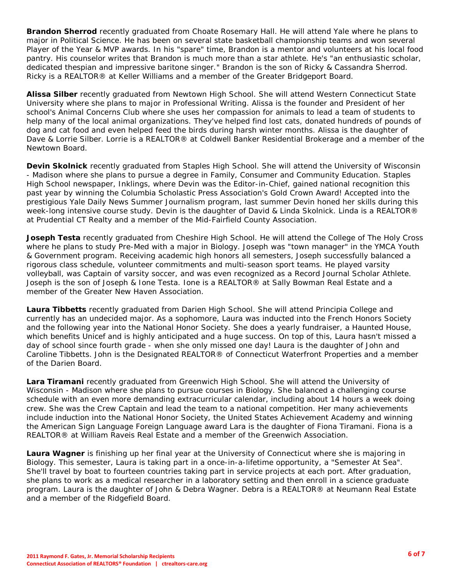**Brandon Sherrod** recently graduated from Choate Rosemary Hall. He will attend Yale where he plans to major in Political Science. He has been on several state basketball championship teams and won several Player of the Year & MVP awards. In his "spare" time, Brandon is a mentor and volunteers at his local food pantry. His counselor writes that Brandon is much more than a star athlete. He's "an enthusiastic scholar, dedicated thespian and impressive baritone singer." Brandon is the son of Ricky & Cassandra Sherrod. Ricky is a REALTOR® at Keller Williams and a member of the Greater Bridgeport Board.

**Alissa Silber** recently graduated from Newtown High School. She will attend Western Connecticut State University where she plans to major in Professional Writing. Alissa is the founder and President of her school's Animal Concerns Club where she uses her compassion for animals to lead a team of students to help many of the local animal organizations. They've helped find lost cats, donated hundreds of pounds of dog and cat food and even helped feed the birds during harsh winter months. Alissa is the daughter of Dave & Lorrie Silber. Lorrie is a REALTOR® at Coldwell Banker Residential Brokerage and a member of the Newtown Board.

**Devin Skolnick** recently graduated from Staples High School. She will attend the University of Wisconsin - Madison where she plans to pursue a degree in Family, Consumer and Community Education. Staples High School newspaper, Inklings, where Devin was the Editor-in-Chief, gained national recognition this past year by winning the Columbia Scholastic Press Association's Gold Crown Award! Accepted into the prestigious Yale Daily News Summer Journalism program, last summer Devin honed her skills during this week-long intensive course study. Devin is the daughter of David & Linda Skolnick. Linda is a REALTOR® at Prudential CT Realty and a member of the Mid-Fairfield County Association.

**Joseph Testa** recently graduated from Cheshire High School. He will attend the College of The Holy Cross where he plans to study Pre-Med with a major in Biology. Joseph was "town manager" in the YMCA Youth & Government program. Receiving academic high honors all semesters, Joseph successfully balanced a rigorous class schedule, volunteer commitments and multi-season sport teams. He played varsity volleyball, was Captain of varsity soccer, and was even recognized as a Record Journal Scholar Athlete. Joseph is the son of Joseph & Ione Testa. Ione is a REALTOR® at Sally Bowman Real Estate and a member of the Greater New Haven Association.

**Laura Tibbetts** recently graduated from Darien High School. She will attend Principia College and currently has an undecided major. As a sophomore, Laura was inducted into the French Honors Society and the following year into the National Honor Society. She does a yearly fundraiser, a Haunted House, which benefits Unicef and is highly anticipated and a huge success. On top of this, Laura hasn't missed a day of school since fourth grade - when she only missed one day! Laura is the daughter of John and Caroline Tibbetts. John is the Designated REALTOR® of Connecticut Waterfront Properties and a member of the Darien Board.

**Lara Tiramani** recently graduated from Greenwich High School. She will attend the University of Wisconsin - Madison where she plans to pursue courses in Biology. She balanced a challenging course schedule with an even more demanding extracurricular calendar, including about 14 hours a week doing crew. She was the Crew Captain and lead the team to a national competition. Her many achievements include induction into the National Honor Society, the United States Achievement Academy and winning the American Sign Language Foreign Language award Lara is the daughter of Fiona Tiramani. Fiona is a REALTOR® at William Raveis Real Estate and a member of the Greenwich Association.

**Laura Wagner** is finishing up her final year at the University of Connecticut where she is majoring in Biology. This semester, Laura is taking part in a once-in-a-lifetime opportunity, a "Semester At Sea". She'll travel by boat to fourteen countries taking part in service projects at each port. After graduation, she plans to work as a medical researcher in a laboratory setting and then enroll in a science graduate program. Laura is the daughter of John & Debra Wagner. Debra is a REALTOR® at Neumann Real Estate and a member of the Ridgefield Board.